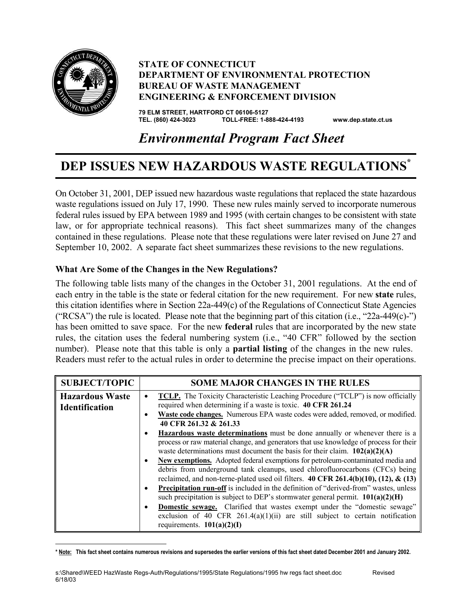

 $\overline{a}$ 

## **STATE OF CONNECTICUT DEPARTMENT OF ENVIRONMENTAL PROTECTION BUREAU OF WASTE MANAGEMENT ENGINEERING & ENFORCEMENT DIVISION**

**79 ELM STREET, HARTFORD CT 06106-5127 TEL. (860) 424-3023 TOLL-FREE: 1-888-424-4193 www.dep.state.ct.us**

## *Environmental Program Fact Sheet*

# **DEP ISSUES NEW HAZARDOUS WASTE REGULATIONS\***

On October 31, 2001, DEP issued new hazardous waste regulations that replaced the state hazardous waste regulations issued on July 17, 1990. These new rules mainly served to incorporate numerous federal rules issued by EPA between 1989 and 1995 (with certain changes to be consistent with state law, or for appropriate technical reasons). This fact sheet summarizes many of the changes contained in these regulations. Please note that these regulations were later revised on June 27 and September 10, 2002. A separate fact sheet summarizes these revisions to the new regulations.

## **What Are Some of the Changes in the New Regulations?**

The following table lists many of the changes in the October 31, 2001 regulations. At the end of each entry in the table is the state or federal citation for the new requirement. For new **state** rules, this citation identifies where in Section 22a-449(c) of the Regulations of Connecticut State Agencies ("RCSA") the rule is located. Please note that the beginning part of this citation (i.e., "22a-449(c)-") has been omitted to save space. For the new **federal** rules that are incorporated by the new state rules, the citation uses the federal numbering system (i.e., "40 CFR" followed by the section number). Please note that this table is only a **partial listing** of the changes in the new rules. Readers must refer to the actual rules in order to determine the precise impact on their operations.

| <b>SUBJECT/TOPIC</b>                            | <b>SOME MAJOR CHANGES IN THE RULES</b>                                                                                                                                                                                                                                                                                                                                                                                                                                                                                                                                                                                                                                                                                                                                                                                                                                                                                                                   |
|-------------------------------------------------|----------------------------------------------------------------------------------------------------------------------------------------------------------------------------------------------------------------------------------------------------------------------------------------------------------------------------------------------------------------------------------------------------------------------------------------------------------------------------------------------------------------------------------------------------------------------------------------------------------------------------------------------------------------------------------------------------------------------------------------------------------------------------------------------------------------------------------------------------------------------------------------------------------------------------------------------------------|
| <b>Hazardous Waste</b><br><b>Identification</b> | <b>TCLP.</b> The Toxicity Characteristic Leaching Procedure ("TCLP") is now officially<br>$\bullet$<br>required when determining if a waste is toxic. 40 CFR 261.24<br>Waste code changes. Numerous EPA waste codes were added, removed, or modified.<br>٠<br>40 CFR 261.32 & 261.33                                                                                                                                                                                                                                                                                                                                                                                                                                                                                                                                                                                                                                                                     |
|                                                 | <b>Hazardous waste determinations</b> must be done annually or whenever there is a<br>٠<br>process or raw material change, and generators that use knowledge of process for their<br>waste determinations must document the basis for their claim. $102(a)(2)(A)$<br><b>New exemptions.</b> Adopted federal exemptions for petroleum-contaminated media and<br>٠<br>debris from underground tank cleanups, used chlorofluorocarbons (CFCs) being<br>reclaimed, and non-terne-plated used oil filters. $40 \text{ CFR } 261.4(b)(10), (12), \& (13)$<br><b>Precipitation run-off</b> is included in the definition of "derived-from" wastes, unless<br>٠<br>such precipitation is subject to DEP's stormwater general permit. $101(a)(2)(H)$<br>Domestic sewage. Clarified that wastes exempt under the "domestic sewage"<br>$\bullet$<br>exclusion of 40 CFR $261.4(a)(1)(ii)$ are still subject to certain notification<br>requirements. $101(a)(2)(I)$ |

**<sup>\*</sup> Note: This fact sheet contains numerous revisions and supersedes the earlier versions of this fact sheet dated December 2001 and January 2002.**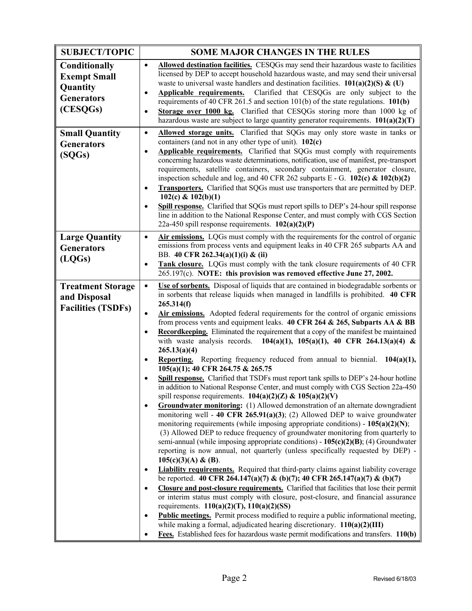| <b>SUBJECT/TOPIC</b>                                                              | <b>SOME MAJOR CHANGES IN THE RULES</b>                                                                                                                                                                                                                                                                                                                                                                                                                                                                                                                                                                                                                                                                                                                                                                                                                                                                                                                                                                                                                                                                                                                                                                                                                                                                                                                                                                                                                                                                                                                                                                                                                                                                                                                                                                                                                                                                                                                                                                                                                                                                                                                                                                                                                                       |
|-----------------------------------------------------------------------------------|------------------------------------------------------------------------------------------------------------------------------------------------------------------------------------------------------------------------------------------------------------------------------------------------------------------------------------------------------------------------------------------------------------------------------------------------------------------------------------------------------------------------------------------------------------------------------------------------------------------------------------------------------------------------------------------------------------------------------------------------------------------------------------------------------------------------------------------------------------------------------------------------------------------------------------------------------------------------------------------------------------------------------------------------------------------------------------------------------------------------------------------------------------------------------------------------------------------------------------------------------------------------------------------------------------------------------------------------------------------------------------------------------------------------------------------------------------------------------------------------------------------------------------------------------------------------------------------------------------------------------------------------------------------------------------------------------------------------------------------------------------------------------------------------------------------------------------------------------------------------------------------------------------------------------------------------------------------------------------------------------------------------------------------------------------------------------------------------------------------------------------------------------------------------------------------------------------------------------------------------------------------------------|
| Conditionally<br><b>Exempt Small</b><br>Quantity<br><b>Generators</b><br>(CESQGs) | Allowed destination facilities. CESQGs may send their hazardous waste to facilities<br>$\bullet$<br>licensed by DEP to accept household hazardous waste, and may send their universal<br>waste to universal waste handlers and destination facilities. $101(a)(2)(S)$ & (U)<br>Applicable requirements. Clarified that CESQGs are only subject to the<br>$\bullet$<br>requirements of 40 CFR 261.5 and section 101(b) of the state regulations. 101(b)<br>Storage over 1000 kg. Clarified that CESQGs storing more than 1000 kg of<br>$\bullet$<br>hazardous waste are subject to large quantity generator requirements. $101(a)(2)(T)$                                                                                                                                                                                                                                                                                                                                                                                                                                                                                                                                                                                                                                                                                                                                                                                                                                                                                                                                                                                                                                                                                                                                                                                                                                                                                                                                                                                                                                                                                                                                                                                                                                      |
| <b>Small Quantity</b><br><b>Generators</b><br>(SQGs)                              | Allowed storage units. Clarified that SQGs may only store waste in tanks or<br>$\bullet$<br>containers (and not in any other type of unit). $102(c)$<br><b>Applicable requirements.</b> Clarified that SQGs must comply with requirements<br>$\bullet$<br>concerning hazardous waste determinations, notification, use of manifest, pre-transport<br>requirements, satellite containers, secondary containment, generator closure,<br>inspection schedule and log, and 40 CFR 262 subparts $E - G$ . 102(c) & 102(b)(2)<br><b>Transporters.</b> Clarified that SQGs must use transporters that are permitted by DEP.<br>$\bullet$<br>$102(c)$ & $102(b)(1)$<br>Spill response. Clarified that SQGs must report spills to DEP's 24-hour spill response<br>$\bullet$<br>line in addition to the National Response Center, and must comply with CGS Section<br>22a-450 spill response requirements. $102(a)(2)(P)$                                                                                                                                                                                                                                                                                                                                                                                                                                                                                                                                                                                                                                                                                                                                                                                                                                                                                                                                                                                                                                                                                                                                                                                                                                                                                                                                                              |
| <b>Large Quantity</b><br><b>Generators</b><br>(LQGs)                              | Air emissions. LQGs must comply with the requirements for the control of organic<br>$\bullet$<br>emissions from process vents and equipment leaks in 40 CFR 265 subparts AA and<br>BB. 40 CFR 262.34(a)(1)(i) & (ii)<br><b>Tank closure.</b> LQGs must comply with the tank closure requirements of 40 CFR<br>٠<br>265.197(c). NOTE: this provision was removed effective June 27, 2002.                                                                                                                                                                                                                                                                                                                                                                                                                                                                                                                                                                                                                                                                                                                                                                                                                                                                                                                                                                                                                                                                                                                                                                                                                                                                                                                                                                                                                                                                                                                                                                                                                                                                                                                                                                                                                                                                                     |
| <b>Treatment Storage</b><br>and Disposal<br><b>Facilities (TSDFs)</b>             | Use of sorbents. Disposal of liquids that are contained in biodegradable sorbents or<br>$\bullet$<br>in sorbents that release liquids when managed in landfills is prohibited. 40 CFR<br>265.314(f)<br>Air emissions. Adopted federal requirements for the control of organic emissions<br>$\bullet$<br>from process vents and equipment leaks. 40 CFR 264 & 265, Subparts AA & BB<br><b>Recordkeeping.</b> Eliminated the requirement that a copy of the manifest be maintained<br>$\bullet$<br>with waste analysis records. $104(a)(1)$ , $105(a)(1)$ , 40 CFR 264.13(a)(4) &<br>265.13(a)(4)<br>Reporting. Reporting frequency reduced from annual to biennial. 104(a)(1),<br>$\bullet$<br>105(a)(1); 40 CFR 264.75 & 265.75<br>Spill response. Clarified that TSDFs must report tank spills to DEP's 24-hour hotline<br>in addition to National Response Center, and must comply with CGS Section 22a-450<br>spill response requirements. $104(a)(2)(Z)$ & $105(a)(2)(V)$<br>Groundwater monitoring: (1) Allowed demonstration of an alternate downgradient<br>$\bullet$<br>monitoring well - 40 CFR 265.91(a)(3); (2) Allowed DEP to waive groundwater<br>monitoring requirements (while imposing appropriate conditions) - 105(a)(2)(N);<br>(3) Allowed DEP to reduce frequency of groundwater monitoring from quarterly to<br>semi-annual (while imposing appropriate conditions) - $105(c)(2)(B)$ ; (4) Groundwater<br>reporting is now annual, not quarterly (unless specifically requested by DEP) -<br>$105(c)(3)(A) & (B)$ .<br><b>Liability requirements.</b> Required that third-party claims against liability coverage<br>$\bullet$<br>be reported. 40 CFR 264.147(a)(7) & (b)(7); 40 CFR 265.147(a)(7) & (b)(7)<br>Closure and post-closure requirements. Clarified that facilities that lose their permit<br>$\bullet$<br>or interim status must comply with closure, post-closure, and financial assurance<br>requirements. $110(a)(2)(T)$ , $110(a)(2)(SS)$<br><b>Public meetings.</b> Permit process modified to require a public informational meeting,<br>$\bullet$<br>while making a formal, adjudicated hearing discretionary. 110(a)(2)(III)<br>Fees. Established fees for hazardous waste permit modifications and transfers. 110(b)<br>$\bullet$ |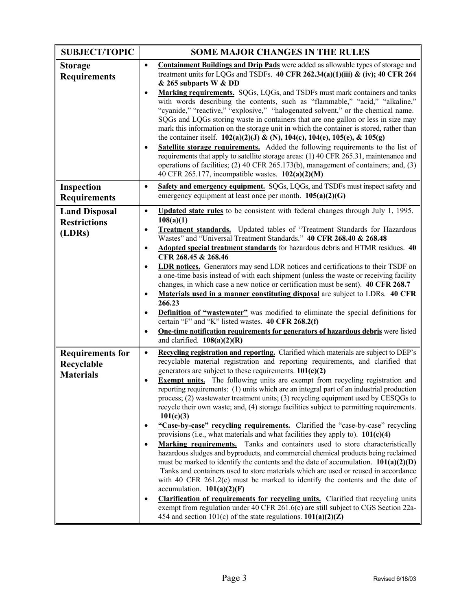| <b>SUBJECT/TOPIC</b>                                      | <b>SOME MAJOR CHANGES IN THE RULES</b>                                                                                                                                                                                                                                                                                                                                                                                                                                                                                                                                                                                                                                                                                                                                                                                                                                                                                                                                                                                                                                                                                                                                                                                                                                                                                                                                                                                                                                                                                                                                  |
|-----------------------------------------------------------|-------------------------------------------------------------------------------------------------------------------------------------------------------------------------------------------------------------------------------------------------------------------------------------------------------------------------------------------------------------------------------------------------------------------------------------------------------------------------------------------------------------------------------------------------------------------------------------------------------------------------------------------------------------------------------------------------------------------------------------------------------------------------------------------------------------------------------------------------------------------------------------------------------------------------------------------------------------------------------------------------------------------------------------------------------------------------------------------------------------------------------------------------------------------------------------------------------------------------------------------------------------------------------------------------------------------------------------------------------------------------------------------------------------------------------------------------------------------------------------------------------------------------------------------------------------------------|
| <b>Storage</b><br><b>Requirements</b>                     | <b>Containment Buildings and Drip Pads</b> were added as allowable types of storage and<br>$\bullet$<br>treatment units for LQGs and TSDFs. 40 CFR 262.34(a)(1)(iii) & (iv); 40 CFR 264<br>& 265 subparts W & DD<br>Marking requirements. SQGs, LQGs, and TSDFs must mark containers and tanks<br>$\bullet$<br>with words describing the contents, such as "flammable," "acid," "alkaline,"<br>"cyanide," "reactive," "explosive," "halogenated solvent," or the chemical name.<br>SQGs and LQGs storing waste in containers that are one gallon or less in size may<br>mark this information on the storage unit in which the container is stored, rather than<br>the container itself. 102(a)(2)(J) & (N), 104(c), 104(e), 105(e), & 105(g)<br><b>Satellite storage requirements.</b> Added the following requirements to the list of<br>$\bullet$<br>requirements that apply to satellite storage areas: (1) 40 CFR 265.31, maintenance and<br>operations of facilities; (2) 40 CFR 265.173(b), management of containers; and, (3)<br>40 CFR 265.177, incompatible wastes. 102(a)(2)(M)                                                                                                                                                                                                                                                                                                                                                                                                                                                                              |
| <b>Inspection</b><br><b>Requirements</b>                  | Safety and emergency equipment. SQGs, LQGs, and TSDFs must inspect safety and<br>$\bullet$<br>emergency equipment at least once per month. $105(a)(2)(G)$                                                                                                                                                                                                                                                                                                                                                                                                                                                                                                                                                                                                                                                                                                                                                                                                                                                                                                                                                                                                                                                                                                                                                                                                                                                                                                                                                                                                               |
| <b>Land Disposal</b><br><b>Restrictions</b><br>(LDRs)     | <b>Updated state rules</b> to be consistent with federal changes through July 1, 1995.<br>$\bullet$<br>108(a)(1)<br>Treatment standards. Updated tables of "Treatment Standards for Hazardous<br>$\bullet$<br>Wastes" and "Universal Treatment Standards." 40 CFR 268.40 & 268.48<br>Adopted special treatment standards for hazardous debris and HTMR residues. 40<br>$\bullet$<br>CFR 268.45 & 268.46<br><b>LDR notices.</b> Generators may send LDR notices and certifications to their TSDF on<br>$\bullet$<br>a one-time basis instead of with each shipment (unless the waste or receiving facility<br>changes, in which case a new notice or certification must be sent). 40 CFR 268.7<br>Materials used in a manner constituting disposal are subject to LDRs. 40 CFR<br>$\bullet$<br>266.23<br>Definition of "wastewater" was modified to eliminate the special definitions for<br>$\bullet$<br>certain "F" and "K" listed wastes. 40 CFR 268.2(f)<br>One-time notification requirements for generators of hazardous debris were listed<br>$\bullet$<br>and clarified. $108(a)(2)(R)$                                                                                                                                                                                                                                                                                                                                                                                                                                                                          |
| <b>Requirements for</b><br>Recyclable<br><b>Materials</b> | Recycling registration and reporting. Clarified which materials are subject to DEP's<br>$\bullet$<br>recyclable material registration and reporting requirements, and clarified that<br>generators are subject to these requirements. $101(c)(2)$<br><b>Exempt units.</b> The following units are exempt from recycling registration and<br>٠<br>reporting requirements: (1) units which are an integral part of an industrial production<br>process; (2) wastewater treatment units; (3) recycling equipment used by CESQGs to<br>recycle their own waste; and, (4) storage facilities subject to permitting requirements.<br>101(c)(3)<br>"Case-by-case" recycling requirements. Clarified the "case-by-case" recycling<br>$\bullet$<br>provisions (i.e., what materials and what facilities they apply to). $101(c)(4)$<br>Marking requirements. Tanks and containers used to store characteristically<br>$\bullet$<br>hazardous sludges and byproducts, and commercial chemical products being reclaimed<br>must be marked to identify the contents and the date of accumulation. $101(a)(2)(D)$<br>Tanks and containers used to store materials which are used or reused in accordance<br>with 40 CFR $261.2(e)$ must be marked to identify the contents and the date of<br>accumulation. $101(a)(2)(F)$<br><b>Clarification of requirements for recycling units.</b> Clarified that recycling units<br>٠<br>exempt from regulation under 40 CFR 261.6(c) are still subject to CGS Section 22a-<br>454 and section 101(c) of the state regulations. $101(a)(2)(Z)$ |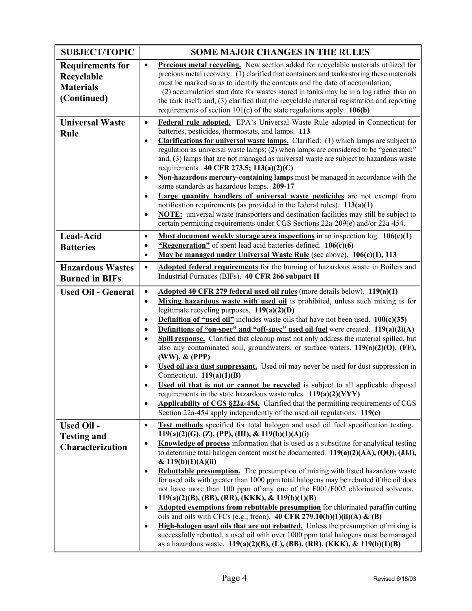| <b>SUBJECT/TOPIC</b>                                                     | <b>SOME MAJOR CHANGES IN THE RULES</b>                                                                                                                                                                                                                                                                                                                                                                                                                                                                                                                                                                                                                                                                                                                                                                                                                                                                                                                                                                                                                                                                                                                                      |
|--------------------------------------------------------------------------|-----------------------------------------------------------------------------------------------------------------------------------------------------------------------------------------------------------------------------------------------------------------------------------------------------------------------------------------------------------------------------------------------------------------------------------------------------------------------------------------------------------------------------------------------------------------------------------------------------------------------------------------------------------------------------------------------------------------------------------------------------------------------------------------------------------------------------------------------------------------------------------------------------------------------------------------------------------------------------------------------------------------------------------------------------------------------------------------------------------------------------------------------------------------------------|
| <b>Requirements for</b><br>Recyclable<br><b>Materials</b><br>(Continued) | <b>Precious metal recycling.</b> New section added for recyclable materials utilized for<br>$\bullet$<br>precious metal recovery: (1) clarified that containers and tanks storing these materials<br>must be marked so as to identify the contents and the date of accumulation;<br>(2) accumulation start date for wastes stored in tanks may be in a log rather than on<br>the tank itself; and, (3) clarified that the recyclable material registration and reporting<br>requirements of section $101(c)$ of the state regulations apply. <b>106(b)</b>                                                                                                                                                                                                                                                                                                                                                                                                                                                                                                                                                                                                                  |
| <b>Universal Waste</b><br>Rule                                           | Federal rule adopted. EPA's Universal Waste Rule adopted in Connecticut for<br>$\bullet$<br>batteries, pesticides, thermostats, and lamps. 113<br>Clarifications for universal waste lamps. Clarified: (1) which lamps are subject to<br>$\bullet$<br>regulation as universal waste lamps; (2) when lamps are considered to be "generated;"<br>and, (3) lamps that are not managed as universal waste are subject to hazardous waste<br>requirements. 40 CFR 273.5; $113(a)(2)(C)$<br>Non-hazardous mercury-containing lamps must be managed in accordance with the<br>$\bullet$<br>same standards as hazardous lamps. 209-17<br>Large quantity handlers of universal waste pesticides are not exempt from<br>$\bullet$<br>notification requirements (as provided in the federal rules). $113(a)(1)$<br><b>NOTE:</b> universal waste transporters and destination facilities may still be subject to<br>$\bullet$<br>certain permitting requirements under CGS Sections 22a-209(e) and/or 22a-454.                                                                                                                                                                          |
| <b>Lead-Acid</b><br><b>Batteries</b>                                     | Must document weekly storage area inspections in an inspection log. 106(c)(1)<br>$\bullet$<br>"Regeneration" of spent lead acid batteries defined. 106(c)(6)<br>$\bullet$<br>May be managed under Universal Waste Rule (see above). 106(c)(1), 113<br>$\bullet$                                                                                                                                                                                                                                                                                                                                                                                                                                                                                                                                                                                                                                                                                                                                                                                                                                                                                                             |
| <b>Hazardous Wastes</b><br><b>Burned in BIFs</b>                         | Adopted federal requirements for the burning of hazardous waste in Boilers and<br>$\bullet$<br>Industrial Furnaces (BIFs). 40 CFR 266 subpart H                                                                                                                                                                                                                                                                                                                                                                                                                                                                                                                                                                                                                                                                                                                                                                                                                                                                                                                                                                                                                             |
| <b>Used Oil - General</b>                                                | Adopted 40 CFR 279 federal used oil rules (more details below). 119(a)(1)<br>$\bullet$<br>Mixing hazardous waste with used oil is prohibited, unless such mixing is for<br>$\bullet$<br>legitimate recycling purposes. $119(a)(2)(D)$<br><b>Definition of "used oil"</b> includes waste oils that have not been used. $100(c)(35)$<br>$\bullet$<br>Definitions of "on-spec" and "off-spec" used oil fuel were created. $119(a)(2)(A)$<br>$\bullet$<br>Spill response. Clarified that cleanup must not only address the material spilled, but<br>$\bullet$<br>also any contaminated soil, groundwaters, or surface waters. 119(a)(2)(O), (FF),<br>$(WW)$ , $\&$ (PPP)<br>Used oil as a dust suppressant. Used oil may never be used for dust suppression in<br>$\bullet$<br>Connecticut. $119(a)(1)(B)$<br>Used oil that is not or cannot be recycled is subject to all applicable disposal<br>requirements in the state hazardous waste rules. $119(a)(2)(YYY)$<br>Applicability of CGS §22a-454. Clarified that the permitting requirements of CGS<br>$\bullet$<br>Section 22a-454 apply independently of the used oil regulations. 119(e)                                 |
| <b>Used Oil -</b><br><b>Testing and</b><br>Characterization              | Test methods specified for total halogen and used oil fuel specification testing.<br>$\bullet$<br>$119(a)(2)(G)$ , (Z), (PP), (III), & $119(b)(1)(A)(i)$<br><b>Knowledge of process</b> information that is used as a substitute for analytical testing<br>$\bullet$<br>to determine total halogen content must be documented. 119(a)(2)(AA), (QQ), (JJJ),<br>& $119(b)(1)(A)(ii)$<br><b>Rebuttable presumption.</b> The presumption of mixing with listed hazardous waste<br>$\bullet$<br>for used oils with greater than 1000 ppm total halogens may be rebutted if the oil does<br>not have more than 100 ppm of any one of the F001/F002 chlorinated solvents.<br>119(a)(2)(B), (BB), (RR), (KKK), & 119(b)(1)(B)<br><b>Adopted exemptions from rebuttable presumption</b> for chlorinated paraffin cutting<br>٠<br>oils and oils with CFCs (e.g., freon). 40 CFR 279.10(b)(1)(ii)(A) & (B)<br>High-halogen used oils that are not rebutted. Unless the presumption of mixing is<br>$\bullet$<br>successfully rebutted, a used oil with over 1000 ppm total halogens must be managed<br>as a hazardous waste. $119(a)(2)(B)$ , (L), (BB), (RR), (KKK), & $119(b)(1)(B)$ |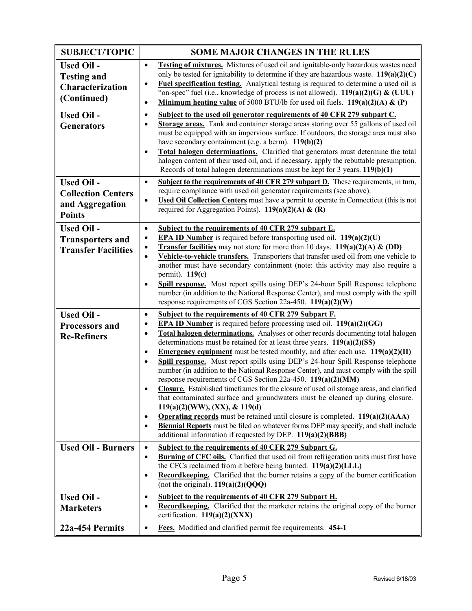| <b>SUBJECT/TOPIC</b>                                                               | <b>SOME MAJOR CHANGES IN THE RULES</b>                                                                                                                                                                                                                                                                                                                                                                                                                                                                                                                                                                                                                                                                                                                                                                                                                                                                                                                                                                                                                                                                                                                                                                        |
|------------------------------------------------------------------------------------|---------------------------------------------------------------------------------------------------------------------------------------------------------------------------------------------------------------------------------------------------------------------------------------------------------------------------------------------------------------------------------------------------------------------------------------------------------------------------------------------------------------------------------------------------------------------------------------------------------------------------------------------------------------------------------------------------------------------------------------------------------------------------------------------------------------------------------------------------------------------------------------------------------------------------------------------------------------------------------------------------------------------------------------------------------------------------------------------------------------------------------------------------------------------------------------------------------------|
| <b>Used Oil -</b><br><b>Testing and</b><br><b>Characterization</b><br>(Continued)  | Testing of mixtures. Mixtures of used oil and ignitable-only hazardous wastes need<br>$\bullet$<br>only be tested for ignitability to determine if they are hazardous waste. $119(a)(2)(C)$<br>Fuel specification testing. Analytical testing is required to determine a used oil is<br>$\bullet$<br>"on-spec" fuel (i.e., knowledge of process is not allowed). $119(a)(2)(G)$ & (UUU)<br>Minimum heating value of 5000 BTU/lb for used oil fuels. $119(a)(2)(A)$ & (P)<br>$\bullet$                                                                                                                                                                                                                                                                                                                                                                                                                                                                                                                                                                                                                                                                                                                         |
| <b>Used Oil -</b><br><b>Generators</b>                                             | Subject to the used oil generator requirements of 40 CFR 279 subpart C.<br>$\bullet$<br>Storage areas. Tank and container storage areas storing over 55 gallons of used oil<br>$\bullet$<br>must be equipped with an impervious surface. If outdoors, the storage area must also<br>have secondary containment (e.g. a berm). 119(b)(2)<br>Total halogen determinations. Clarified that generators must determine the total<br>$\bullet$<br>halogen content of their used oil, and, if necessary, apply the rebuttable presumption.<br>Records of total halogen determinations must be kept for 3 years. 119(b)(1)                                                                                                                                                                                                                                                                                                                                                                                                                                                                                                                                                                                            |
| <b>Used Oil -</b><br><b>Collection Centers</b><br>and Aggregation<br><b>Points</b> | Subject to the requirements of 40 CFR 279 subpart D. These requirements, in turn,<br>$\bullet$<br>require compliance with used oil generator requirements (see above).<br><b>Used Oil Collection Centers</b> must have a permit to operate in Connecticut (this is not<br>$\bullet$<br>required for Aggregation Points). 119(a)(2)(A) & (R)                                                                                                                                                                                                                                                                                                                                                                                                                                                                                                                                                                                                                                                                                                                                                                                                                                                                   |
| <b>Used Oil -</b><br><b>Transporters and</b><br><b>Transfer Facilities</b>         | Subject to the requirements of 40 CFR 279 subpart E.<br>$\bullet$<br><b>EPA ID Number</b> is required before transporting used oil. $119(a)(2)(U)$<br>$\bullet$<br><b>Transfer facilities</b> may not store for more than 10 days. $119(a)(2)(A)$ & (DD)<br>$\bullet$<br>Vehicle-to-vehicle transfers. Transporters that transfer used oil from one vehicle to<br>$\bullet$<br>another must have secondary containment (note: this activity may also require a<br>permit). $119(c)$<br>Spill response. Must report spills using DEP's 24-hour Spill Response telephone<br>$\bullet$<br>number (in addition to the National Response Center), and must comply with the spill<br>response requirements of CGS Section 22a-450. $119(a)(2)(W)$                                                                                                                                                                                                                                                                                                                                                                                                                                                                   |
| <b>Used Oil -</b><br><b>Processors and</b><br><b>Re-Refiners</b>                   | Subject to the requirements of 40 CFR 279 Subpart F.<br>$\bullet$<br><b>EPA ID Number</b> is required before processing used oil. $119(a)(2)(GG)$<br>$\bullet$<br>Total halogen determinations. Analyses or other records documenting total halogen<br>$\bullet$<br>determinations must be retained for at least three years. $119(a)(2)(SS)$<br><b>Emergency equipment</b> must be tested monthly, and after each use. $119(a)(2)(II)$<br>$\bullet$<br><b>Spill response.</b> Must report spills using DEP's 24-hour Spill Response telephone<br>$\bullet$<br>number (in addition to the National Response Center), and must comply with the spill<br>response requirements of CGS Section 22a-450. 119(a)(2)(MM)<br>Closure. Established timeframes for the closure of used oil storage areas, and clarified<br>that contaminated surface and groundwaters must be cleaned up during closure.<br>$119(a)(2)(WW)$ , (XX), & 119(d)<br><b>Operating records</b> must be retained until closure is completed. $119(a)(2)(AAA)$<br>٠<br><b>Biennial Reports</b> must be filed on whatever forms DEP may specify, and shall include<br>$\bullet$<br>additional information if requested by DEP. $119(a)(2)(BBB)$ |
| <b>Used Oil - Burners</b>                                                          | Subject to the requirements of 40 CFR 279 Subpart G.<br>$\bullet$<br>Burning of CFC oils. Clarified that used oil from refrigeration units must first have<br>$\bullet$<br>the CFCs reclaimed from it before being burned. 119(a)(2)(LLL)<br><b>Recordkeeping.</b> Clarified that the burner retains a copy of the burner certification<br>$\bullet$<br>(not the original). $119(a)(2)(QQQ)$                                                                                                                                                                                                                                                                                                                                                                                                                                                                                                                                                                                                                                                                                                                                                                                                                  |
| <b>Used Oil -</b><br><b>Marketers</b>                                              | Subject to the requirements of 40 CFR 279 Subpart H.<br>$\bullet$<br>Recordkeeping. Clarified that the marketer retains the original copy of the burner<br>$\bullet$<br>certification. $119(a)(2)(XXX)$                                                                                                                                                                                                                                                                                                                                                                                                                                                                                                                                                                                                                                                                                                                                                                                                                                                                                                                                                                                                       |
| 22a-454 Permits                                                                    | Fees. Modified and clarified permit fee requirements. 454-1<br>$\bullet$                                                                                                                                                                                                                                                                                                                                                                                                                                                                                                                                                                                                                                                                                                                                                                                                                                                                                                                                                                                                                                                                                                                                      |